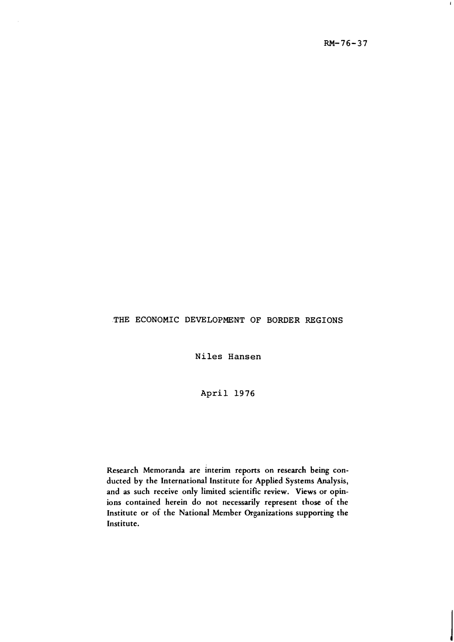# .THE ECONOMIC DEVELOPMENT OF BORDER REGIONS

Niles Hansen

April 1976

**Research Memoranda are interim reports on research being conducted by the International Institute for Applied Systems Analysis, and as such receive only limited scientific review. Views or opinions contained herein do not necessarily represent those of the Institute or of the National Member Organizations supporting the Institute.**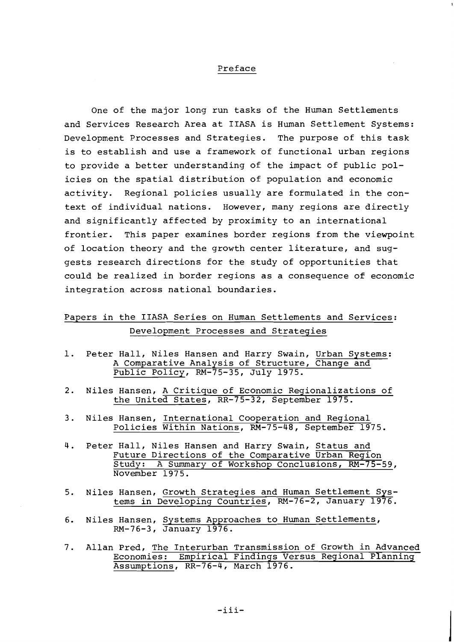#### Preface

One of the major long run tasks of the Human Settlements and Services Research Area at IIASA is Human Settlement Systems: Development Processes and Strategies. The purpose of this task is to establish and use a framework of functional urban regions to provide a better understanding of the impact of public policies on the spatial distribution of population and economic activity. Regional policies usually are formulated in the context of individual nations. However, many regions are directly and significantly affected by proximity to an international frontier. This paper examines border regions from the viewpoint of location theory and the growth center literature, and suggests research directions for the study of opportunities that could be realized in border regions as a consequence of economic integration across national boundaries.

# Papers in the IIASA Series on Human Settlements and Services: Development Processes and Strategies

- 1. Peter Hall, Niles Hansen and Harry Swain, Urban Systems: A Comparative Analysis of Structure, Change and Public Policy, RM-75-35, July 1975.
- 2. Niles Hansen, A Critique of Economic Regionalizations of the United States, RR-75-32, September 1975.
- 3. Niles Hansen, International Cooperation and Regional Policies Within Nations, RM-75-48, September 1975.
- 4. Peter Hall, Niles Hansen and Harry Swain, Status and Future Directions of the Comparative Urban Region Study: A Summary of Workshop Conclusions, RM-75-59, November 1975.
- 5. Niles Hansen, Growth Strategies and Human Settlement Systems in Developing Countries, RM-76-2, January 1976.
- 6. Niles Hansen, Systems Approaches to Human Settlements, RM-76-3, January 1976.
- 7. Allan Pred, The Interurban Transmission of Growth in Advanced Economies: Empirical Findings Versus Regional Planning Assumptions, RR-76-4, March 1976.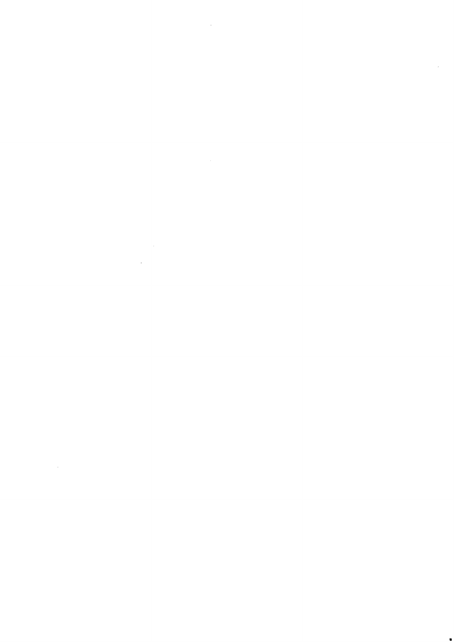$\label{eq:2.1} \frac{1}{\sqrt{2}}\int_{\mathbb{R}^3}\frac{1}{\sqrt{2}}\left(\frac{1}{\sqrt{2}}\right)^2\frac{1}{\sqrt{2}}\left(\frac{1}{\sqrt{2}}\right)^2\frac{1}{\sqrt{2}}\left(\frac{1}{\sqrt{2}}\right)^2.$ 

 $\label{eq:2} \frac{1}{\sqrt{2}}\int_{0}^{\infty}\frac{1}{\sqrt{2\pi}}\left(\frac{1}{\sqrt{2\pi}}\right)^{2}d\mu_{\rm{eff}}$ 

 $\label{eq:2.1} \frac{1}{\sqrt{2}}\int_{\mathbb{R}^3}\frac{1}{\sqrt{2}}\left(\frac{1}{\sqrt{2}}\right)^2\frac{1}{\sqrt{2}}\left(\frac{1}{\sqrt{2}}\right)^2\frac{1}{\sqrt{2}}\left(\frac{1}{\sqrt{2}}\right)^2\frac{1}{\sqrt{2}}\left(\frac{1}{\sqrt{2}}\right)^2.$ 

 $\label{eq:2.1} \frac{1}{\sqrt{2}}\int_{\mathbb{R}^3}\frac{1}{\sqrt{2}}\left(\frac{1}{\sqrt{2}}\right)^2\frac{1}{\sqrt{2}}\left(\frac{1}{\sqrt{2}}\right)^2\frac{1}{\sqrt{2}}\left(\frac{1}{\sqrt{2}}\right)^2\frac{1}{\sqrt{2}}\left(\frac{1}{\sqrt{2}}\right)^2.$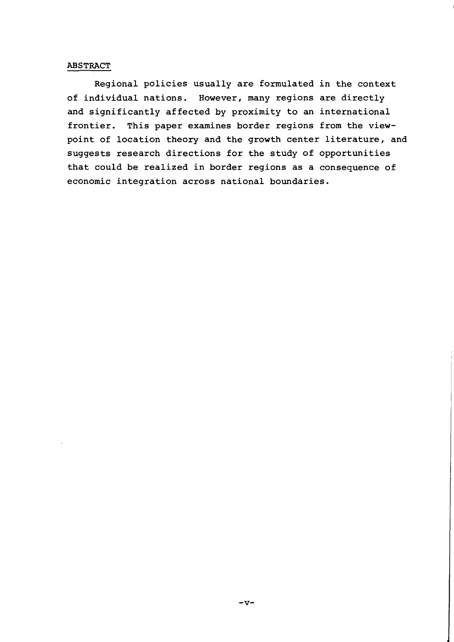# ABSTRACT

Regional policies usually are formulated in the context of individual nations. However, many regions are directly and significantly affected by proximity to an international frontier. This paper examines border regions from the viewpoint of location theory and the growth center literature, and suggests research directions for the study of opportunities that could be realized in border regions as a consequence of economic integration across national boundaries.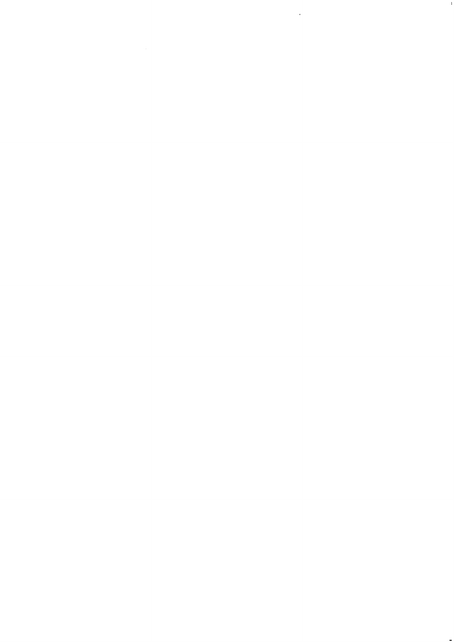$\label{eq:2} \frac{1}{2} \int_{\mathbb{R}^3} \frac{1}{\sqrt{2}} \, \frac{1}{\sqrt{2}} \, \frac{1}{\sqrt{2}} \, \frac{1}{\sqrt{2}} \, \frac{1}{\sqrt{2}} \, \frac{1}{\sqrt{2}} \, \frac{1}{\sqrt{2}} \, \frac{1}{\sqrt{2}} \, \frac{1}{\sqrt{2}} \, \frac{1}{\sqrt{2}} \, \frac{1}{\sqrt{2}} \, \frac{1}{\sqrt{2}} \, \frac{1}{\sqrt{2}} \, \frac{1}{\sqrt{2}} \, \frac{1}{\sqrt{2}} \, \frac{1}{\sqrt{2}} \, \frac$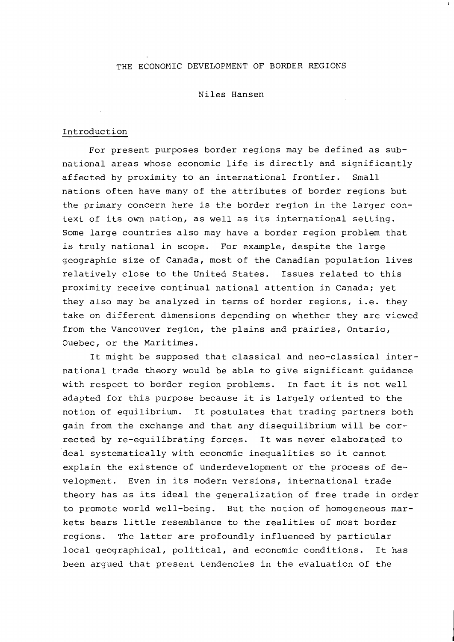# THE ECONOMIC DEVELOPMENT OF BORDER REGIONS

#### Niles Hansen

#### Introduction

For present purposes border regions may be defined as subnational areas whose economic life is directly and significantly affected by proximity to an international frontier. Small nations often have many of the attributes of border regions but the primary concern here is the border region in the larger context of its own nation, as well as its international setting. Some large countries also may have a border region problem that is truly national in scope. For example, despite the large geographic size of Canada, most of the Canadian population lives relatively close to the United States. Issues related to this proximity receive continual national attention in Canada; yet they also may be analyzed in terms of border regions, i.e. they take on different dimensions depending on whether they are viewed from the Vancouver region, the plains and prairies, Ontario, Quebec, or the Maritimes.

It might be supposed that classical and neo-classical international trade theory would be able to give significant guidance with respect to border region problems. In fact it is not well adapted for this purpose because it is largely oriented to the notion of equilibrium. It postulates that trading partners both gain from the exchange and that any disequilibrium will be corrected by re-equilibrating forces. It was never elaborated to deal systematically with economic inequalities so it cannot explain the existence of underdevelopment or the process of development. Even in its modern versions, international trade theory has as its ideal the generalization of free trade in order to promote world well-being. But the notion of homogeneous markets bears little resemblance to the realities of most border regions. The latter are profoundly influenced by particular local geographical, political, and economic conditions. It has been argued that present tendencies in the evaluation of the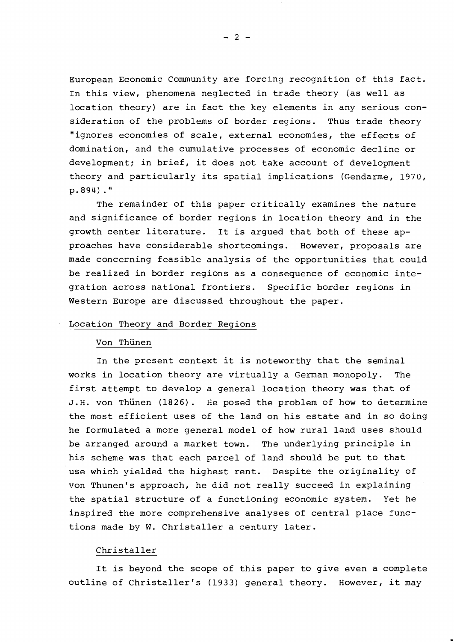European Economic Community are forcing recognition of this fact. In this view, phenomena neglected in trade theory (as well as location theory) are in fact the key elements in any serious consideration of the problems of border regions. Thus trade theory "ignores economies of scale, external economies, the effects of domination, and the cumulative processes of economic decline or development; in brief, it does not take account of development theory and particularly its spatial implications (Gendarme, 1970, p. 894) . "

The remainder of this paper critically examines the nature and significance of border regions in location theory and in the growth center literature. It is argued that both of these approaches have considerable shortcomings. However, proposals are made concerning feasible analysis of the opportunities that could be realized in border regions as a consequence of economic integration across national frontiers. Specific border regions in Western Europe are discussed throughout the paper.

## Location Theory and Border Regions

### Von Thiinen

In the present context it is noteworthy that the seminal works in location theory are virtually a German monopoly. The first attempt to develop a general location theory was that of J.H. von Thünen (1826). He posed the problem of how to aetermine the most efficient uses of the land on his estate and in so doing he formulated a more general model of how rural land uses should be arranged around a market town. The underlying principle in his scheme was that each parcel of land should be put to that use which yielded the highest rent. Despite the originality of von Thunen's approach, he did not really succeed in explaining the spatial structure of a functioning economic system. Yet he inspired the more comprehensive analyses of central place functions made by W. Christaller a century later.

#### Christaller

It is beyond the scope of this paper to give even a complete outline of Christaller's (1933) general theory. However, it may

 $-2-$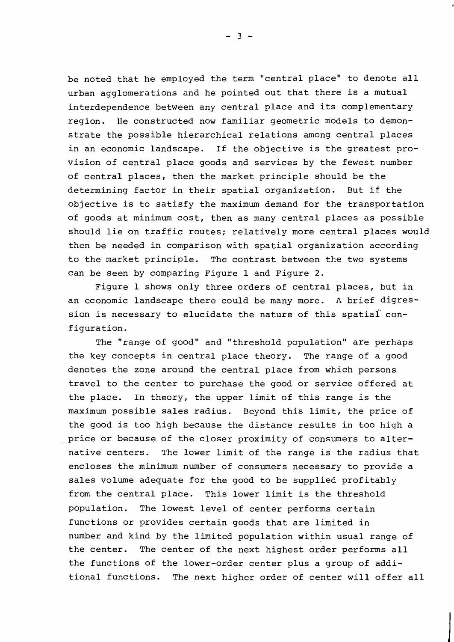be noted that he employed the term "central place" to denote all urban agglomerations and he pointed out that there is a mutual interdependence between any central place and its complementary region. He constructed now familiar geometric models to demonstrate the possible hierarchical relations among central places in an economic landscape. If the objective is the greatest provision of central place goods and services by the fewest number of central places, then the market principle should be the determining factor in their spatial organization. But if the objective is to satisfy the maximum demand for the transportation of goods at minimum cost, then as many central places as possible should lie on traffic routes; relatively more central places would then be needed in comparison with spatial organization according to the market principle. The contrast between the two systems can be seen by comparing Figure 1 and Figure 2.

Figure 1 shows only three orders of central places, but in an economic landscape there could be many more. **A** brief digression is necessary to elucidate the nature of this spatial configuration.

The "range of good" and "threshold population" are perhaps the key concepts in central place theory. The range of a good denotes the zone around the central place from which persons travel to the center to purchase the good or service offered at the place. In theory, the upper limit of this range is the maximum possible sales radius. Beyond this limit, the price of the good is too high because the distance results in too high a price or because of the closer proximity of consumers to alternative centers. The lower limit of the range is the radius that encloses the minimum number of consumers necessary to provide a sales volume adequate for the good to be supplied profitably from the central place. This lower limit is the threshold population. The lowest level of center performs certain functions or provides certain goods that are limited in number and kind by the limited population within usual range of the center. The center of the next highest order performs all the functions of the lower-order center plus a group of additional functions. The next hisher order of center will offer all

 $-3 -$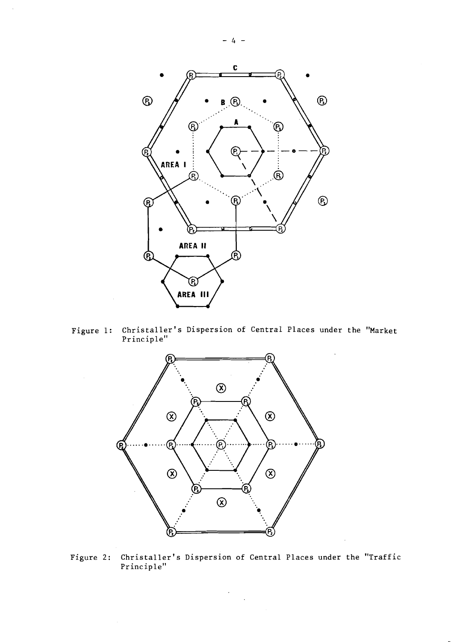

**Figure 1: ~hristaller's Dispersion of Central Places under the "Market Principle"** 



**Figure 2: Christaller's Dispersion of Central Places under the "Traffic Principle"**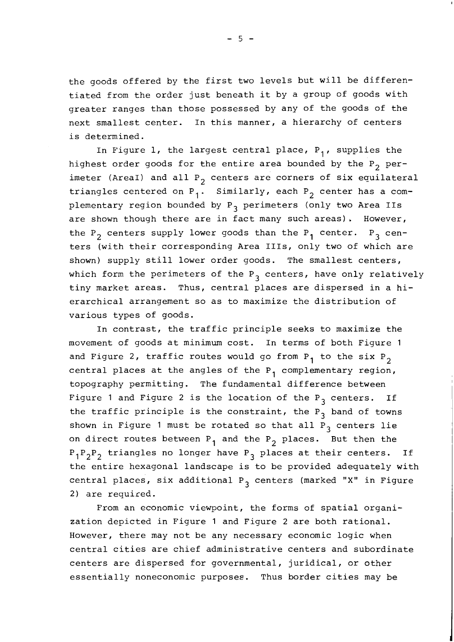the goods offered by the first two levels but will be differentiated from the order just beneath it by a group of goods with greater ranges than those possessed by any of the goods of the next smallest center. In this manner, a hierarchy of centers is determined.

In Figure 1, the largest central place,  $P_1$ , supplies the highest order goods for the entire area bounded by the  $P_2$  perimeter (AreaI) and all  $P_2$  centers are corners of six equilateral triangles centered on  $P_1$ . Similarly, each  $P_2$  center has a complementary region bounded by  $P_3$  perimeters (only two Area IIs are shown though there are in fact many such areas). However, the P<sub>2</sub> centers supply lower goods than the P<sub>1</sub> center. P<sub>3</sub> centers (with their corresponding Area IIIs, only two of which are shown) supply still lower order goods. The smallest centers, which form the perimeters of the  $P_3$  centers, have only relatively tiny market areas. Thus, central places are dispersed in a hierarchical arrangement so as to maximize the distribution of various types of goods.

In contrast, the traffic principle seeks to maximize the movement of goods at minimum cost. In terms of both Figure 1 and Figure 2, traffic routes would go from  $P_1$  to the six  $P_2$ central places at the angles of the  $P_1$  complementary region, topography permitting. The fundamental difference between Figure 1 and Figure 2 is the location of the  $P_3$  centers. If the traffic principle is the constraint, the  $P_3$  band of towns shown in Figure 1 must be rotated so that all  $P_3$  centers lie on direct routes between  $P_1$  and the  $P_2$  places. But then the  $P_1P_2P_2$  triangles no longer have  $P_3$  places at their centers. If the entire hexagonal landscape is to be provided adequately with central places, six additional  $P_3$  centers (marked "X" in Figure 2) are required.

From an economic viewpoint, the forms of spatial organization depicted in Figure 1 and Figure 2 are both rational. However, there may not be any necessary economic logic when central cities are chief administrative centers and subordinate centers are dispersed for governmental, juridical, or other essentially noneconomic purposes. Thus border cities may be

 $-5 -$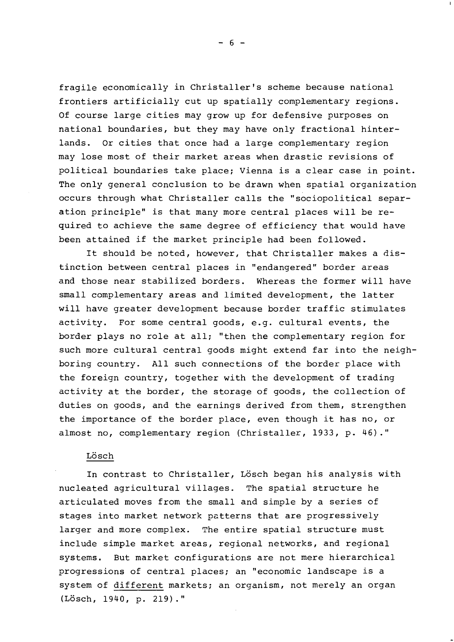fragile economically in Christaller's scheme because national frontiers artificially cut up spatially complementary regions. Of course large cities may grow up for defensive purposes on national boundaries, but they may have only fractional hinterlands. Or cities that once had a large complementary region may lose most of their market areas when drastic revisions of political boundaries take place; Vienna is a clear case in point. The only general conclusion to be drawn when spatial organization occurs through what Christaller calls the "sociopolitical separation principle" is that many more central places will be required to achieve the same degree of efficiency that would have been attained if the market principle had been followed.

It should be noted, however, that Christaller makes a distinction between central places in "endangered" border areas and those near stabilized borders. Whereas the former will have small complementary areas and limited development, the latter will have greater development because border traffic stimulates activity. For some central goods, e.g. cultural events, the border plays no role at all; "then the complementary region for such more cultural central goods might extend far into the neighboring country. All such connections of the border place with the foreign country, together with the development of trading activity at the border, the storage of goods, the collection of duties on goods, and the earnings derived from them, strengthen the importance of the border place, even though it has no, or almost no, complementary region (Christaller, 1933, p. 46)."

### Lösch

In contrast to Christaller, Lösch began his analysis with nucleated agricultural villages. The spatial structure he articulated moves from the small and simple by a series of stages into market network patterns that are progressively larger and more complex. The entire spatial structure must include simple market areas, regional networks, and regional systems. But market configurations are not mere hierarchical progressions of central places; an "economic landscape is a system of different markets; an organism, not merely an organ (Lösch, 1940, p. 219)."

 $-6-$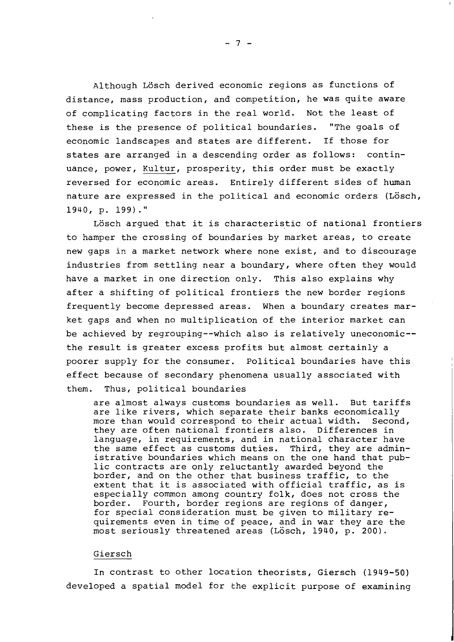Although Lösch derived economic regions as functions of distance, mass production, and competition, he was quite aware of complicating factors in the real world. Not the least of these is the presence of political boundaries. "The goals of economic landscapes and states are different. If those for states are arranged in a descending order as follows: continuance, power, Kultur, prosperity, this order must be exactly reversed for economic areas. Entirely different sides of human nature are expressed in the political and economic orders (Lösch, 1940, p. 199)."

Lösch arqued that it is characteristic of national frontiers to hamper the crossing of boundaries by market areas, to create new gaps in a market network where none exist, and to discourage industries from settling near a boundary, where often they would have a market in one direction only. This also explains why after a shifting of political frontiers the new border regions frequently become depressed areas. When a boundary creates market gaps and when no multiplication of the interior market can be achieved by regrouping--which also is relatively uneconomic- the result is greater excess profits but almost certainly a poorer supply for the consumer. Political boundaries have this effect because of secondary phenomena usually associated with them. Thus, political boundaries

are almost always customs boundaries as well. But tariffs are like rivers, which separate their banks economically<br>more than would correspond to their actual width. Second, more than would correspond to their actual width. they are often national frontiers also. Differences in language, in requirements, and in national character have the same effect as customs duties. Third, they are administrative boundaries which means on the one hand that public contracts are only reluctantly awarded beyond the border, and on the other that business traffic, to the extent that it is associated with official traffic, as is especially common among country folk, does not cross the border. Fourth, border regions are regions of danger, for special consideration must be given to military requirements even in time of peace, and in war they are the most seriously threatened areas (Lösch, 1940, p. 200).

#### Giersch

In contrast to other location theorists, Giersch (1949-50) developed a spatial model for the explicit purpose of examining

 $-7-$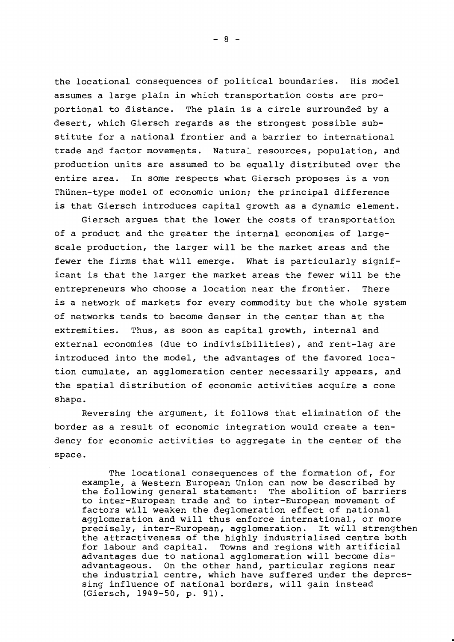the locational consequences of political boundaries. His model assumes a large plain in which transportation costs are proportional to distance. The plain is a circle surrounded by a desert, which Giersch regards as the strongest possible substitute for a national frontier and a barrier to international trade and factor movements. Natural resources, population, and production units are assumed to be equally distributed over the entire area. In some respects what Giersch proposes is a von Thunen-type model of economic union; the principal difference is that Giersch introduces capital growth as a dynamic element.

Giersch argues that the lower the costs of transportation of a product and the greater the internal economies of largescale production, the larger will be the market areas and the fewer the firms that will emerge. What is particularly significant is that the larger the market areas the fewer will be the entrepreneurs who choose a location near the frontier. There is a network of markets for every commodity but the whole system of networks tends to become denser in the center than at the extremities. Thus, as soon as capital growth, internal and external economies (due to indivisibilities), and rent-lag are introduced into the model, the advantages of the favored location cumulate, an agglomeration center necessarily appears, and the spatial distribution of economic activities acquire a cone shape.

Reversing the argument, it follows that elimination of the border as a result of economic integration would create a tendency for economic activities to aggregate in the center of the space.

The locational consequences of the formation of, for example, a Western European Union can now be described by the following general statement: The abolition of barriers to inter-European trade and to inter-European movement of factors will weaken the deglomeration effect of national agglomeration and will thus enforce international, or more precisely, inter-European, agglomeration. It will strengthen the attractiveness of the highly industrialised centre both for labour and capital. Towns and regions with artificial advantages due to national agglomeration will become disadvantageous. On the other hand, particular regions near the industrial centre, which have suffered under the depressing influence of national borders, will gain instead (Giersch, 1949-50, p. 91).

 $-8 -$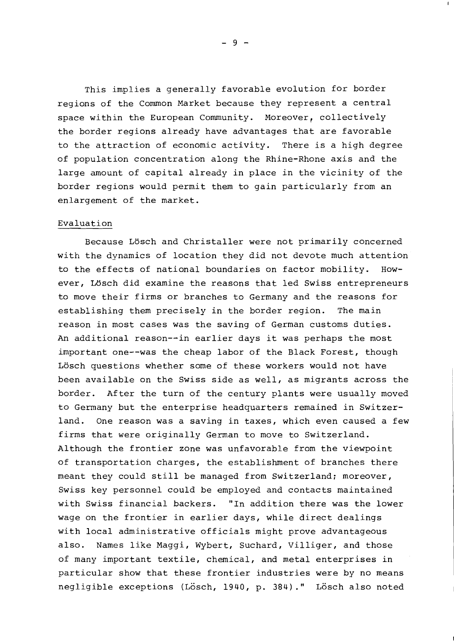This implies a generally favorable evolution for border regions of the Common Market because they represent a central space within the European Community. Moreover, collectively the border regions already have advantages that are favorable to the attraction of economic activity. There is a high degree of population concentration along the Rhine-Rhone axis and the large amount of capital already in place in the vicinity of the border regions would permit them to gain particularly from an enlargement of the market.

#### Evaluation

Because Lösch and Christaller were not primarily concerned with the dynamics of location they did not devote much attention to the effects of national boundaries on factor mobility. However, Lösch did examine the reasons that led Swiss entrepreneurs to move their firms or branches to Germany and the reasons for establishing them precisely in the border region. The main reason in most cases was the saving of German customs duties. An additional reason--in earlier days it was perhaps the most important one--was the cheap labor of the Black Forest, though Lösch questions whether some of these workers would not have been available on the Swiss side as well, as migrants across the border. After the turn of the century plants were usually moved to Germany but the enterprise headquarters remained in Switzerland. One reason was a saving in taxes, which even caused a few firms that were originally German to move to Switzerland. Although the frontier zone was unfavorable from the viewpoint of transportation charges, the establishment of branches there meant they could still be managed from Switzerland; moreover, Swiss key personnel could be employed and contacts maintained with Swiss financial backers. "In addition there was the lower wage on the frontier in earlier days, while direct dealings with local administrative officials might prove advantageous also. Names like Maggi, Wybert, Suchard, Villiger, and those of many important textile, chemical, and metal enterprises in particular show that these frontier industries were by no means negligible exceptions (Lösch, 1940, p. 384)." Lösch also noted

 $-9 -$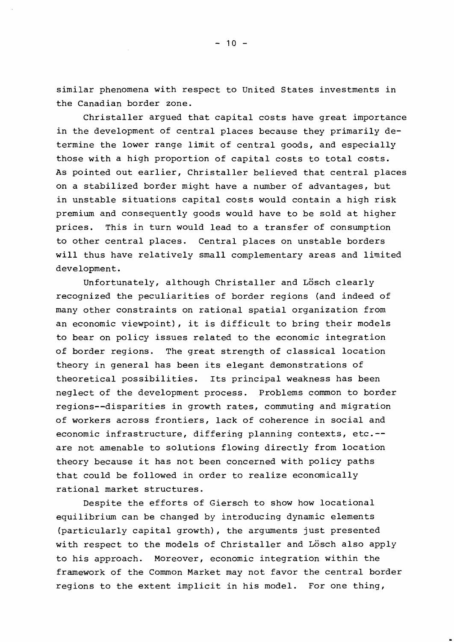similar phenomena with respect to United States investments in the Canadian border zone.

Christaller argued that capital costs have great importance in the development of central places because they primarily determine the lower range limit of central goods, and especially those with a high proportion of capital costs to total costs. As pointed out earlier, Christaller believed that central places on a stabilized border might have a number of advantages, but in unstable situations capital costs would contain a high risk premium and consequently goods would have to be sold at higher prices. This in turn would lead to a transfer of consumption to other central places. Central places on unstable borders will thus have relatively small complementary areas and limited development.

Unfortunately, although Christaller and Lösch clearly recognized the peculiarities of border regions (and indeed of many other constraints on rational spatial organization from an economic viewpoint), it is difficult to bring their models to bear on policy issues related to the economic integration of border regions. The great strength of classical location theory in general has been its elegant demonstrations of theoretical possibilities. Its principal weakness has been neglect of the development process. Problems common to border regions--disparities in growth rates, commuting and migration of workers across frontiers, lack of coherence in social and economic infrastructure, differing planning contexts, etc.- are not amenable to solutions flowing directly from location theory because it has not been concerned with policy paths that could be followed in order to realize economically rational market structures.

Despite the efforts of Giersch to show how locational equilibrium can be changed by introducing dynamic elements (particularly capital growth), the arguments just presented with respect to the models of Christaller and Lösch also apply to his approach. Moreover, economic integration within the framework of the Common Market may not favor the central border regions to the extent implicit in his model. For one thing,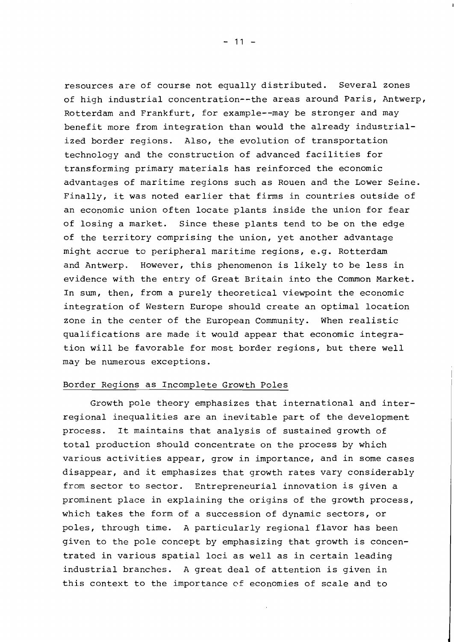resources are of course not equally distributed. Several zones of high industrial concentration--the areas around Paris, Antwerp, Rotterdam and Frankfurt, for example--may be stronger and may benefit more from integration than would the already industrialized border regions. Also, the evolution of transportation technology and the construction of advanced facilities for transforming primary materials has reinforced the economic advantages of maritime regions such as Rouen and the Lower Seine. Finally, it was noted earlier that firms in countries outside of an economic union often locate plants inside the union for fear of losing a market. Since these plants tend to be on the edge of the territory comprising the union, yet another advantage might accrue to peripheral maritime regions, e.g. Rotterdam and Antwerp. However, this phenomenon is likely to be less in evidence with the entry of Great Britain into the Common Market. In sum, then, from a purely theoretical viewpoint the economic integration of Western Europe should create an optimal location zone in the center of the European Community. When realistic qualifications are made it would appear that economic integration will be favorable for most border regions, but there well may be numerous exceptions.

# Border Regions as Incomplete Growth Poles

Growth pole theory emphasizes that international and interregional inequalities are an inevitable part of the development process. It maintains that analysis of sustained growth of total production should concentrate on the process by which various activities appear, grow in importance, and in some cases disappear, and it emphasizes that growth rates vary considerably from sector to sector. Entrepreneurial innovation is given a prominent place in explaining the origins of the growth process, which takes the form of a succession of dynamic sectors, or poles, through time. A particularly regional flavor has been given to the pole concept by emphasizing that growth is concentrated in various spatial loci as well as in certain leading industrial branches. A great deal of attention is given in this context to the importance of economies of scale and to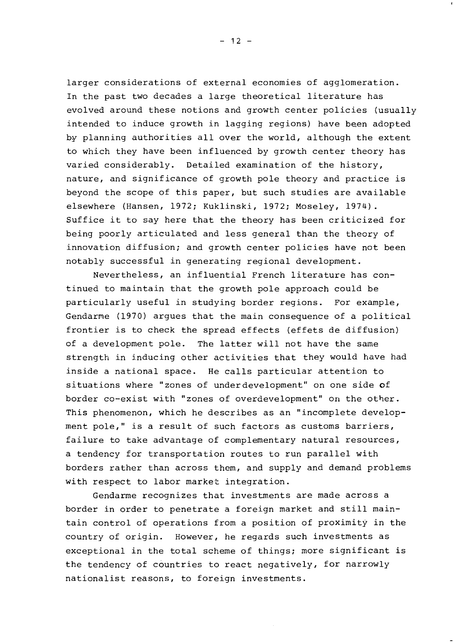larger considerations of external economies of agglomeration. In the past two decades a large theoretical literature has evolved around these notions and growth center policies (usually intended to induce growth in lagging regions) have been adopted by planning authorities all over the world, although the extent to which they have been influenced by growth center theory has varied considerably. Detailed examination of the history, nature, and significance of growth pole theory and practice is beyond the scope of this paper, but such studies are available elsewhere (Hansen, 1972; Kuklinski, 1972; Moseley, 1974). Suffice it to say here that the theory has been criticized for being poorly articulated and less general than the theory of innovation diffusion; and growth center policies have not been notably successful in generating regional development.

Nevertheless, an influential French literature has continued to maintain that the growth pole approach could be particularly useful in studying border regions. For example, Gendarme (1970) argues that the main consequence of a political frontier is to check the spread effects (effets de diffusion) of a development pole. The latter will not have the same strength in inducing other activities that they would have had inside a national space. He calls particular attention to situations where "zones of underdevelopment" on one side of border co-exist with "zones of overdevelopment" on the other. This phenomenon, which he describes as an "incomplete development pole," is a result of such factors as customs barriers, failure to take advantage of complementary natural resources, a tendency for transportation routes to run parallel with borders rather than across them, and supply and demand problems with respect to labor market integration.

Gendarme recognizes that investments are made across a border in order to penetrate a foreign market and still maintain control of operations from a position of proximity in the country of origin. However, he regards such investments as exceptional in the total scheme of things; more significant is the tendency of countries to react negatively, for narrowly nationalist reasons, to foreign investments.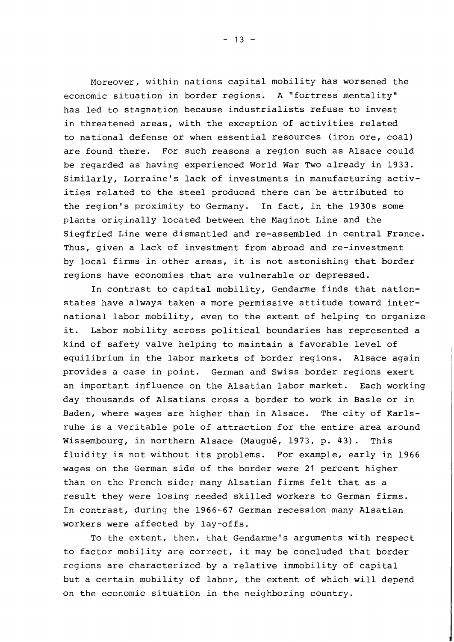Moreover, within nations capital mobility has worsened the economic situation in border regions. A "fortress mentality" has led to stagnation because industrialists refuse to invest in threatened areas, with the exception of activities related to national defense or when essential resources (iron ore, coal) are found there. For such reasons a region such as Alsace could be regarded as having experienced World War Two already in 1933. Similarly, Lorraine's lack of investments in manufacturing activities related to the steel produced there can be attributed to the region's proximity to Germany. In fact, in the 1930s some plants originally located between the Maginot Line and the Siegfried Line were dismantled and re-assembled in central France. Thus, given a lack of investment from abroad and re-investment by local firms in other areas, it is not astonishing that border regions have economies that are vulnerable or depressed.

In contrast to capital mobility, Gendarme finds that nationstates have always taken a more permissive attitude toward international labor mobility, even to the extent of helping to organize it. Labor mobility across political boundaries has represented a kind of safety valve helping to maintain a favorable level of equilibrium in the labor markets of border regions. Alsace again provides a case in point. German and Swiss border regions exert an important influence on the Alsatian labor market. Each working day thousands of Alsatians cross a border to work in Basle or in Baden, where wages are higher than in Alsace. The city of Karlsruhe is a veritable pole of attraction for the entire area around Wissembourg, in northern Alsace (Maugué, 1973, p. 43). This fluidity is not without its problems. For example, early in 1966 wages on the German side of the border were 21 percent higher than on the French side; many Alsatian firms felt that as a result they were losing needed skilled workers to German firms. In contrast, during the 1966-67 German recession many Alsatian workers were affected by lay-offs.

To the extent, then, that Gendarme's arguments with respect to factor mobility are correct, it may be concluded that border regions are characterized by a relative immobility of capital but a certain mobility of labor, the extent of which will depend on the economic situation in the neighboring country.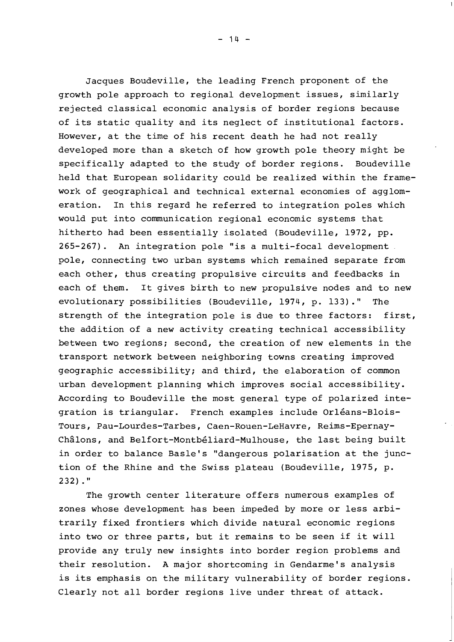Jacques Boudeville, the leading French proponent of the growth pole approach to regional development issues, similarly rejected classical economic analysis of border regions because of its static quality and its neglect of institutional factors. However, at the time of his recent death he had not really developed more than a sketch of how growth pole theory might be specifically adapted to the study of border regions. Boudeville held that European solidarity could be realized within the framework of geographical and technical external economies of agglomeration. In this regard he referred to integration poles which would put into communication regional economic systems that hitherto had been essentially isolated (Boudeville, 1972, pp. 265-267). An integration pole "is a multi-focal development pole, connecting two urban systems which remained separate from each other, thus creating propulsive circuits and feedbacks in each of them. It gives birth to new propulsive nodes and to new evolutionary possibilities (Boudeville, 1974, p. 133)." The strength of the integration pole is due to three factors: first, the addition of a new activity creating technical accessibility between two regions; second, the creation of new elements in the transport network between neighboring towns creating improved geographic accessibility; and third, the elaboration of common urban development planning which improves social accessibility. According to Boudeville the most general type of polarized integration is triangular. French examples include Orléans-Blois-Tours, Pau-Lourdes-Tarbes, Caen-Rouen-LeHavre, Reims-Epernay-Châlons, and Belfort-Montbéliard-Mulhouse, the last being built in order to balance Basle's "dangerous polarisation at the junction of the Rhine and the Swiss plateau (Boudeville, 1975, p. 232)."

The growth center literature offers numerous examples of zones whose development has been impeded by more or less arbitrarily fixed frontiers which divide natural economic regions into two or three parts, but it remains to be seen if it will provide any truly new insights into border region problems and their resolution. A major shortcoming in Gendarme's analysis is its emphasis on the military vulnerability of border regions. Clearly not all border regions live under threat of attack.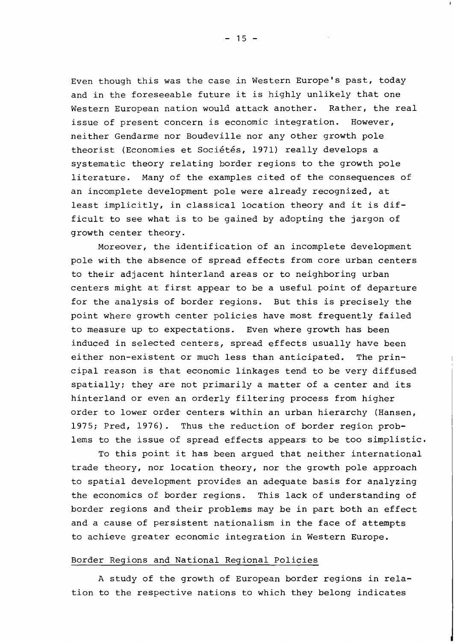Even though this was the case in Western Europe's past, today and in the foreseeable future it is highly unlikely that one Western European nation would attack another. Rather, the real issue of present concern is economic integration. However, neither Gendarme nor Boudeville nor any other growth pole theorist (Economies et Sociétés, 1971) really develops a systematic theory relating border regions to the growth pole literature. Many of the examples cited of the consequences of an incomplete development pole were already recognized, at least implicitly, in classical location theory and it is difficult to see what is to be gained by adopting the jargon of growth center theory.

Moreover, the identification of an incomplete development pole with the absence of spread effects from core urban centers to their adjacent hinterland areas or to neighboring urban centers might at first appear to be a useful point of departure for the analysis of border regions. But this is precisely the point where growth center policies have most frequently failed to measure up to expectations. Even where growth has been induced in selected centers, spread effects usually have been either non-existent or much less than anticipated. The principal reason is that economic linkages tend to be very diffused spatially; they are not primarily a matter of a center and its hinterland or even an orderly filtering process from higher order to lower order centers within an urban hierarchy (Hansen, 1975; Pred, 1976). Thus the reduction of border region problems to the issue of spread effects appears to be too simplistic.

To this point it has been argued that neither international trade theory, nor location theory, nor the growth pole approach to spatial development provides an adequate basis for analyzing the economics of border regions. This lack of understanding of border regions and their problems may be in part both an effect and a cause of persistent nationalism in the face of attempts to achieve greater economic integration in Western Europe.

## Border Regions and National Regional Policies

A study of the growth of European border regions in relation to the respective nations to which they belong indicates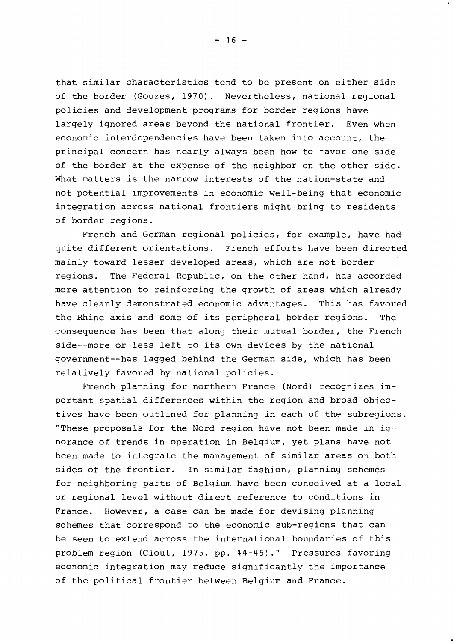that similar characteristics tend to be present on either side of the border (Gouzes, 1970). Nevertheless, national regional policies and development programs for border regions have largely ignored areas beyond the national frontier. Even when economic interdependencies have been taken into account, the principal concern has nearly always been how to favor one side of the border at the expense of the neighbor on the other side. What matters is the narrow interests of the nation-state and not potential improvements in economic well-being that economic integration across national frontiers might bring to residents of border regions.

French and German regional policies, for example, have had quite different orientations. French efforts have been directed mainly toward lesser developed areas, which are not border regions. The Federal Republic, on the other hand, has accorded more attention to reinforcing the growth of areas which already have clearly demonstrated economic advantages. This has favored the Rhine axis and some of its peripheral border regions. The consequence has been that along their mutual border, the French side--more or less left to its own devices by the national government--has lagged behind the German side, which has been relatively favored by national policies.

French planning for northern France (Nord) recognizes important spatial differences within the region and broad objectives have been outlined for planning in each of the subregions. "These proposals for the Nord region have not been made in ignorance of trends in operation in Belgium, yet plans have not been made to integrate the management of similar areas on both sides of the frontier. In similar fashion, planning schemes for neighboring parts of Belgium have been conceived at a local or regional level without direct reference to conditions in France. However, a case can be made for devising planning schemes that correspond to the economic sub-regions that can be seen to extend across the international boundaries of this problem region (Clout, 1975, pp. 44-45)." Pressures favoring economic integration may reduce significantly the importance of the political frontier between Belgium and France.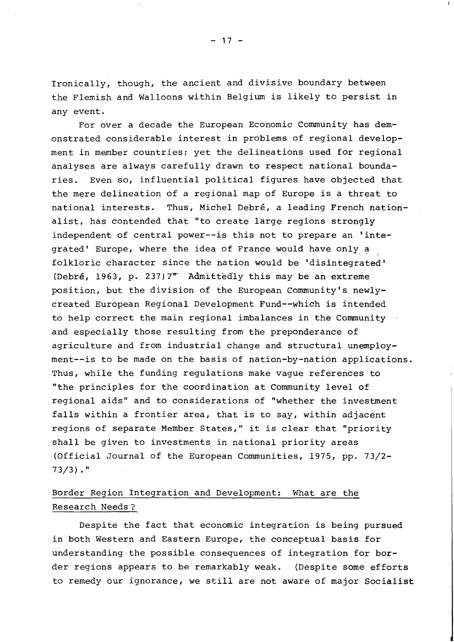Ironically, though, the ancient and divisive boundary between the Flemish and Walloons within Belgium is likely to persist in any event.

For over a decade the European Economic Community has demonstrated considerable interest in problems of regional development in member countries; yet the delineations used for regional analyses are always carefully drawn to respect national boundaries. Even so, influential political figures have objected that the mere delineation of a regional map of Europe is a threat to national interests. Thus, Michel Debré, a leading French nationalist, has contended that "to create large regions strongly independent of central power--is this not to prepare an 'integrated' Europe, where the idea of France would have only a folkloric character since the nation would be 'disintegrated' (Debré, 1963, p. 237)?" Admittedly this may be an extreme position, but the division of the European Community's newlycreated European Regional Development Fund--which is intended to help correct the main regional imbalances in the Community and especially those resulting from the preponderance of agriculture and from industrial change and structural unemployment--is to be made on the basis of nation-by-nation applications. Thus, while the funding regulations make vague references to "the principles for the coordination at Community level of regional aids" and to considerations of "whether the investment falls within a frontier area, that is to say, within adjacent regions of separate Member States," it is clear that "priority shall be given to investments in national priority areas (Official Journal of the European Communities, 1975, pp. 73/2- 73/3)."

# Border Region Integration and Development: What are the Research Needs ?

Despite the fact that economic integration is being pursued in both Western and Eastern Europe, the conceptual basis for understanding the possible consequences of integration for border regions appears to be remarkably weak. (Despite some efforts to remedy our ignorance, we still are not aware of major Socialist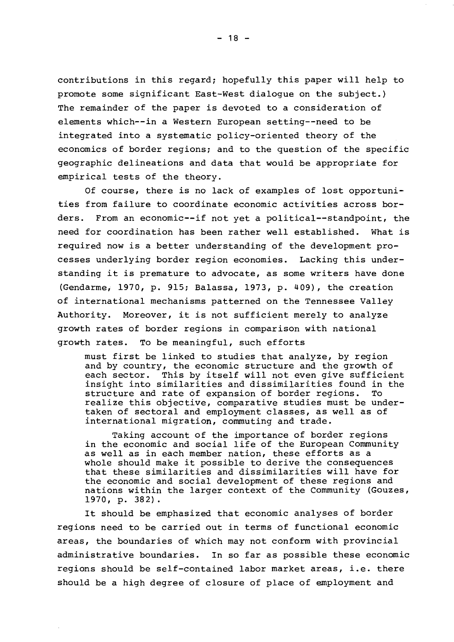contributions in this regard; hopefully this paper will help to promote some significant East-West dialogue on the subject. ) The remainder of the paper is devoted to a consideration of elements which--in a Western European setting--need to be integrated into a systematic policy-oriented theory of the economics of border regions; and to the question of the specific geographic delineations and data that would be appropriate for empirical tests of the theory.

Of course, there is no lack of examples of lost opportunities from failure to coordinate economic activities across borders. From an economic--if not yet a political--standpoint, the need for coordination has been rather well established. What is required now is a better understanding of the development processes underlying border region economies. Lacking this understanding it is premature to advocate, as some writers have done (Gendarme, 1970, p. 915; Balassa, 1973, p. 409), the creation of international mechanisms patterned on the Tennessee Valley Authority. Moreover, it is not sufficient merely to analyze growth rates of border regions in comparison with national growth rates. To be meaningful, such efforts

must first be linked to studies that analyze, by region and by country, the economic structure and the growth of each sector. This by itself will not even give sufficient insight into similarities and dissimilarities found in the structure and rate of expansion of border regions. To realize this objective, comparative studies must be undertaken of sectoral and employment classes, as well as of international migration, commuting and trade.

Taking account of the importance of border regions in the economic and social life of the European Community as well as in each member nation, these efforts as a whole should make it possible to derive the consequences that these similarities and dissimilarities will have for the economic and social development of these regions and nations within the larger context of the Community (Gouzes, 1970, p. 382).

It should be emphasized that economic analyses of border regions need to be carried out in terms of functional economic areas, the boundaries of which may not conform with provincial administrative boundaries. In so far as possible these economic regions should be self-contained labor market areas, i.e. there should be a high degree of closure of place of employment and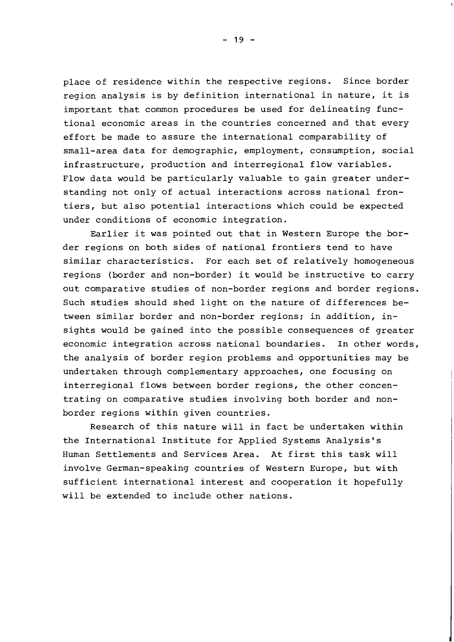place of residence within the respective regions. Since border region analysis is by definition international in nature, it is important that common procedures be used for delineating functional economic areas in the countries concerned and that every effort be made to assure the international comparability of small-area data for demographic, employment, consumption, social infrastructure, production and interregional flow variables. Flow data would be particularly valuable to gain greater understanding not only of actual interactions across national frontiers, but also potential interactions which could be expected under conditions of economic integration.

Earlier it was pointed out that in Western Europe the border regions on both sides of national frontiers tend to have similar characteristics. For each set of relatively homogeneous regions (border and non-border) it would be instructive to carry out comparative studies of non-border regions and border regions. Such studies should shed light on the nature of differences between similar border and non-border regions; in addition, insights would be gained into the possible consequences of greater economic integration across national boundaries. In other words, the analysis of border region problems and opportunities may be undertaken through complementary approaches, one focusing on interregional flows between border regions, the other concentrating on comparative studies involving both border and nonborder regions within given countries.

Research of this nature will in fact be undertaken within the International Institute for Applied Systems Analysis's Human Settlements and Services Area. At first this task will involve German-speaking countries of Western Europe, but with sufficient international interest and cooperation it hopefully will be extended to include other nations.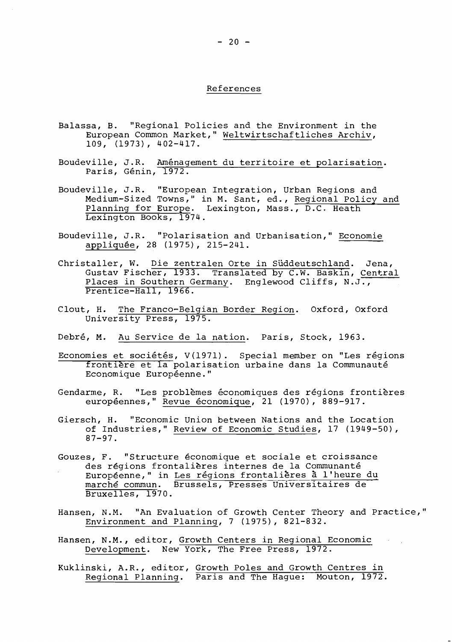### References

- Balassa, B. "Regional Policies and the Environment in the European Common Market," Weltwirtschaftliches Archiv, 109, (1973), 402-417.
- Boudeville, J.R. Aménagement du territoire et polarisation. Paris, Genin, 1972.
- Boudeville, J.R. "European Integration, Urban Regions and Medium-Sized Towns," in M. Sant, ed., Regional Policy and Planning for Europe. Lexington, Mass., D.C. Heath Lexington Books, 1974.
- Boudeville, J.R. "Polarisation and Urbanisation," Economie appliquée, 28 (1975), 215-241.
- Christaller, W. Die zentralen Orte in Süddeutschland. Jena, Gustav Fischer, 1933. Translated by C.W. Baskin, Central Places in Southern Germany. Englewood Cliffs, N.J., Prentice-Hall, 1966.
- Clout, H. The Franco-Belgian Border Region. Oxford, Oxford University Press, 1975.
- Debr6, M. Au Service de la nation. Paris, Stock, 1963.
- Economies et sociétés, V(1971). Special member on "Les régions frontière et la polarisation urbaine dans la Communauté Economique Europ6enne . "
- Gendarme, R. "Les problèmes économiques des régions frontières européennes," <u>Revue économique</u>, 21 (1970), 889-917.
- Giersch, H. "Economic Union between Nations and the Location of Industries," Review of Economic Studies, 17 (1949-50), 87-97.
- Gouzes, F. "Structure 6conomique et sociale et croissance des régions frontalières internes de la Communanté Européenne," in Les régions frontalières à l'heure du marché commun. Brussels, Presses Universitaires de Bruxelles, 1970.
- Hansen, N.M. "An Evaluation of Growth Center Theory and Practice," Environment and Planning, 7 (1975), 821-832.

 $\sim 10^{11}$  km s  $^{-1}$ 

- Hansen, N.M., editor, Growth Centers in Regional Economic Development. New York, The Free Press, 1972.
- Kuklinski, A.R., editor, Growth Poles and Growth Centres in Regional Planning. Paris and The Hague: Mouton, 1972.